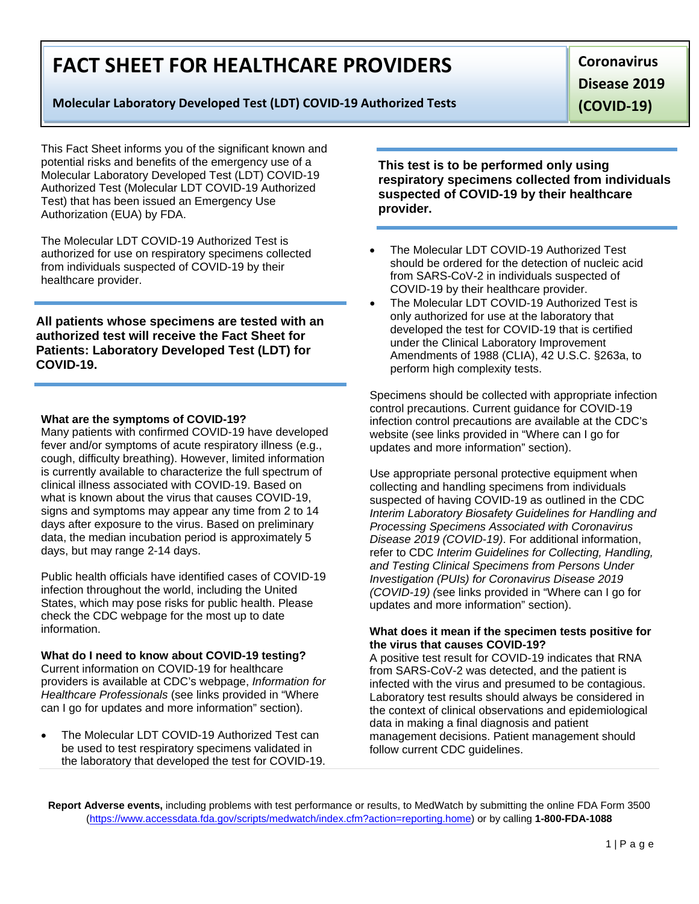# **FACT SHEET FOR HEALTHCARE PROVIDERS**

# **Molecular Laboratory Developed Test (LDT) COVID-19 Authorized Tests**

**Coronavirus Disease 2019 (COVID-19)**

This Fact Sheet informs you of the significant known and potential risks and benefits of the emergency use of a Molecular Laboratory Developed Test (LDT) COVID-19 Authorized Test (Molecular LDT COVID-19 Authorized Test) that has been issued an Emergency Use Authorization (EUA) by FDA.

The Molecular LDT COVID-19 Authorized Test is authorized for use on respiratory specimens collected from individuals suspected of COVID-19 by their healthcare provider.

**All patients whose specimens are tested with an authorized test will receive the Fact Sheet for Patients: Laboratory Developed Test (LDT) for COVID-19.**

#### **What are the symptoms of COVID-19?**

Many patients with confirmed COVID-19 have developed fever and/or symptoms of acute respiratory illness (e.g., cough, difficulty breathing). However, limited information is currently available to characterize the full spectrum of clinical illness associated with COVID-19. Based on what is known about the virus that causes COVID-19, signs and symptoms may appear any time from 2 to 14 days after exposure to the virus. Based on preliminary data, the median incubation period is approximately 5 days, but may range 2-14 days.

Public health officials have identified cases of COVID-19 infection throughout the world, including the United States, which may pose risks for public health. Please check the CDC webpage for the most up to date information.

#### **What do I need to know about COVID-19 testing?**

Current information on COVID-19 for healthcare providers is available at CDC's webpage, *Information for Healthcare Professionals* (see links provided in "Where can I go for updates and more information" section).

The Molecular LDT COVID-19 Authorized Test can be used to test respiratory specimens validated in the laboratory that developed the test for COVID-19. **This test is to be performed only using respiratory specimens collected from individuals suspected of COVID-19 by their healthcare provider.**

- The Molecular LDT COVID-19 Authorized Test should be ordered for the detection of nucleic acid from SARS-CoV-2 in individuals suspected of COVID-19 by their healthcare provider.
- The Molecular LDT COVID-19 Authorized Test is only authorized for use at the laboratory that developed the test for COVID-19 that is certified under the Clinical Laboratory Improvement Amendments of 1988 (CLIA), 42 U.S.C. §263a, to perform high complexity tests.

Specimens should be collected with appropriate infection control precautions. Current guidance for COVID-19 infection control precautions are available at the CDC's website (see links provided in "Where can I go for updates and more information" section).

Use appropriate personal protective equipment when collecting and handling specimens from individuals suspected of having COVID-19 as outlined in the CDC *Interim Laboratory Biosafety Guidelines for Handling and Processing Specimens Associated with Coronavirus Disease 2019 (COVID-19)*. For additional information, refer to CDC *Interim Guidelines for Collecting, Handling, and Testing Clinical Specimens from Persons Under Investigation (PUIs) for Coronavirus Disease 2019 (COVID-19) (*see links provided in "Where can I go for updates and more information" section).

#### **What does it mean if the specimen tests positive for the virus that causes COVID-19?**

A positive test result for COVID-19 indicates that RNA from SARS-CoV-2 was detected, and the patient is infected with the virus and presumed to be contagious. Laboratory test results should always be considered in the context of clinical observations and epidemiological data in making a final diagnosis and patient management decisions. Patient management should follow current CDC guidelines.

**Report Adverse events,** including problems with test performance or results, to MedWatch by submitting the online FDA Form 3500 [\(https://www.accessdata.fda.gov/scripts/medwatch/index.cfm?action=reporting.home\)](https://www.accessdata.fda.gov/scripts/medwatch/index.cfm?action=reporting.home) or by calling **1-800-FDA-1088**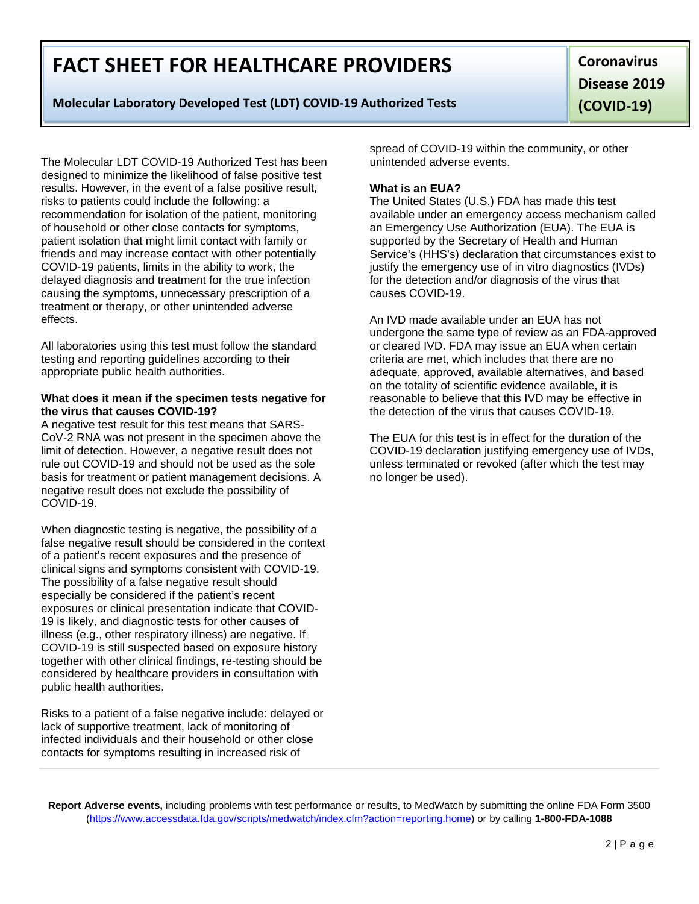# **FACT SHEET FOR HEALTHCARE PROVIDERS**

# **Molecular Laboratory Developed Test (LDT) COVID-19 Authorized Tests**

**Coronavirus Disease 2019 (COVID-19)**

The Molecular LDT COVID-19 Authorized Test has been designed to minimize the likelihood of false positive test results. However, in the event of a false positive result, risks to patients could include the following: a recommendation for isolation of the patient, monitoring of household or other close contacts for symptoms, patient isolation that might limit contact with family or friends and may increase contact with other potentially COVID-19 patients, limits in the ability to work, the delayed diagnosis and treatment for the true infection causing the symptoms, unnecessary prescription of a treatment or therapy, or other unintended adverse effects.

All laboratories using this test must follow the standard testing and reporting guidelines according to their appropriate public health authorities.

#### **What does it mean if the specimen tests negative for the virus that causes COVID-19?**

A negative test result for this test means that SARS-CoV-2 RNA was not present in the specimen above the limit of detection. However, a negative result does not rule out COVID-19 and should not be used as the sole basis for treatment or patient management decisions. A negative result does not exclude the possibility of COVID-19.

When diagnostic testing is negative, the possibility of a false negative result should be considered in the context of a patient's recent exposures and the presence of clinical signs and symptoms consistent with COVID-19. The possibility of a false negative result should especially be considered if the patient's recent exposures or clinical presentation indicate that COVID-19 is likely, and diagnostic tests for other causes of illness (e.g., other respiratory illness) are negative. If COVID-19 is still suspected based on exposure history together with other clinical findings, re-testing should be considered by healthcare providers in consultation with public health authorities.

Risks to a patient of a false negative include: delayed or lack of supportive treatment, lack of monitoring of infected individuals and their household or other close contacts for symptoms resulting in increased risk of

spread of COVID-19 within the community, or other unintended adverse events.

## **What is an EUA?**

The United States (U.S.) FDA has made this test available under an emergency access mechanism called an Emergency Use Authorization (EUA). The EUA is supported by the Secretary of Health and Human Service's (HHS's) declaration that circumstances exist to justify the emergency use of in vitro diagnostics (IVDs) for the detection and/or diagnosis of the virus that causes COVID-19.

An IVD made available under an EUA has not undergone the same type of review as an FDA-approved or cleared IVD. FDA may issue an EUA when certain criteria are met, which includes that there are no adequate, approved, available alternatives, and based on the totality of scientific evidence available, it is reasonable to believe that this IVD may be effective in the detection of the virus that causes COVID-19.

The EUA for this test is in effect for the duration of the COVID-19 declaration justifying emergency use of IVDs, unless terminated or revoked (after which the test may no longer be used).

**Report Adverse events,** including problems with test performance or results, to MedWatch by submitting the online FDA Form 3500 [\(https://www.accessdata.fda.gov/scripts/medwatch/index.cfm?action=reporting.home\)](https://www.accessdata.fda.gov/scripts/medwatch/index.cfm?action=reporting.home) or by calling **1-800-FDA-1088**